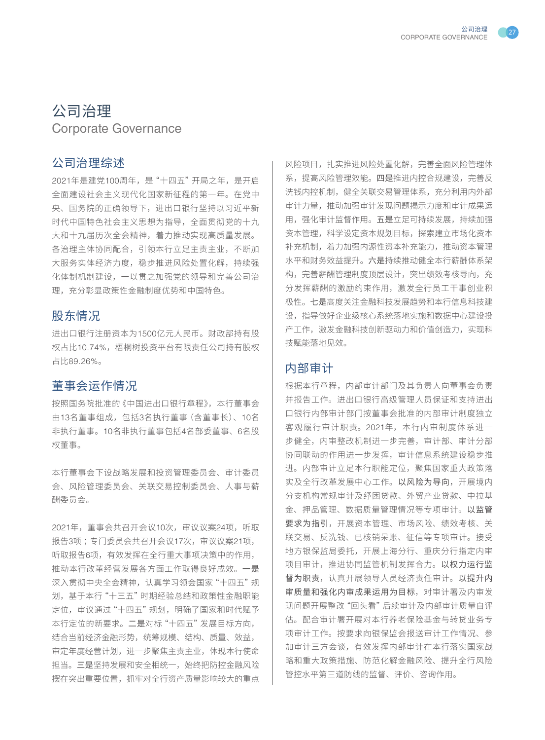



# 公司治理 Corporate Governance

## 公司治理综述

2021年是建党100周年,是"十四五"开局之年,是开启 全面建设社会主义现代化国家新征程的第一年。在党中 央、国务院的正确领导下,进出口银行坚持以习近平新 时代中国特色社会主义思想为指导,全面贯彻党的十九 大和十九届历次全会精神,着力推动实现高质量发展。 各治理主体协同配合,引领本行立足主责主业,不断加 大服务实体经济力度,稳步推进风险处置化解,持续强 化体制机制建设,一以贯之加强党的领导和完善公司治 理,充分彰显政策性金融制度优势和中国特色。

## 股东情况

进出口银行注册资本为1500亿元人民币。财政部持有股 权占比10.74%,梧桐树投资平台有限责任公司持有股权 占比89.26%。

## 董事会运作情况

按照国务院批准的《中国进出口银行章程》,本行董事会 由13名董事组成,包括3名执行董事(含董事长)、10名 非执行董事。10名非执行董事包括4名部委董事、6名股 权董事。

本行董事会下设战略发展和投资管理委员会、审计委员 会、风险管理委员会、关联交易控制委员会、人事与薪 酬委员会。

2021年,董事会共召开会议10次,审议议案24项,听取 报告3项 ;专门委员会共召开会议17次,审议议案21项, 听取报告6项,有效发挥在全行重大事项决策中的作用, 推动本行改革经营发展各方面工作取得良好成效。一是 深入贯彻中央全会精神,认真学习领会国家"十四五"规 划,基于本行"十三五"时期经验总结和政策性金融职能 定位,审议通过"十四五"规划,明确了国家和时代赋予 本行定位的新要求。二是对标"十四五"发展目标方向, 结合当前经济金融形势,统筹规模、结构、质量、效益, 审定年度经营计划,进一步聚焦主责主业,体现本行使命 担当。三是坚持发展和安全相统一,始终把防控金融风险 摆在突出重要位置,抓牢对全行资产质量影响较大的重点 风险项目,扎实推进风险处置化解,完善全面风险管理体 系,提高风险管理效能。四是推进内控合规建设,完善反 洗钱内控机制,健全关联交易管理体系,充分利用内外部 审计力量,推动加强审计发现问题揭示力度和审计成果运 用,强化审计监督作用。五是立足可持续发展,持续加强 资本管理,科学设定资本规划目标,探索建立市场化资本 补充机制,着力加强内源性资本补充能力,推动资本管理 水平和财务效益提升。六是持续推动健全本行薪酬体系架 构,完善薪酬管理制度顶层设计,突出绩效考核导向,充 分发挥薪酬的激励约束作用,激发全行员工干事创业积 极性。七是高度关注金融科技发展趋势和本行信息科技建 设,指导做好企业级核心系统落地实施和数据中心建设投 产工作,激发金融科技创新驱动力和价值创造力,实现科 技赋能落地见效。

### 内部审计

根据本行章程,内部审计部门及其负责人向董事会负责 并报告工作。进出口银行高级管理人员保证和支持进出 口银行内部审计部门按董事会批准的内部审计制度独立 客观履行审计职责。2021年,本行内审制度体系进一 步健全,内审整改机制进一步完善,审计部、审计分部 协同联动的作用进一步发挥,审计信息系统建设稳步推 进。内部审计立足本行职能定位,聚焦国家重大政策落 实及全行改革发展中心工作。以风险为导向,开展境内 分支机构常规审计及纾困贷款、外贸产业贷款、中拉基 金、押品管理、数据质量管理情况等专项审计。以监管 要求为指引,开展资本管理、市场风险、绩效考核、关 联交易、反洗钱、已核销呆账、征信等专项审计。接受 地方银保监局委托,开展上海分行、重庆分行指定内审 项目审计,推进协同监管机制发挥合力。以权力运行监 督为职责,认真开展领导人员经济责任审计。以提升内 审质量和强化内审成果运用为目标,对审计署及内审发 现问题开展整改"回头看"后续审计及内部审计质量自评 估。配合审计署开展对本行养老保险基金与转贷业务专 项审计工作。按要求向银保监会报送审计工作情况、参 加审计三方会谈,有效发挥内部审计在本行落实国家战 略和重大政策措施、防范化解金融风险、提升全行风险 管控水平第三道防线的监督、评价、咨询作用。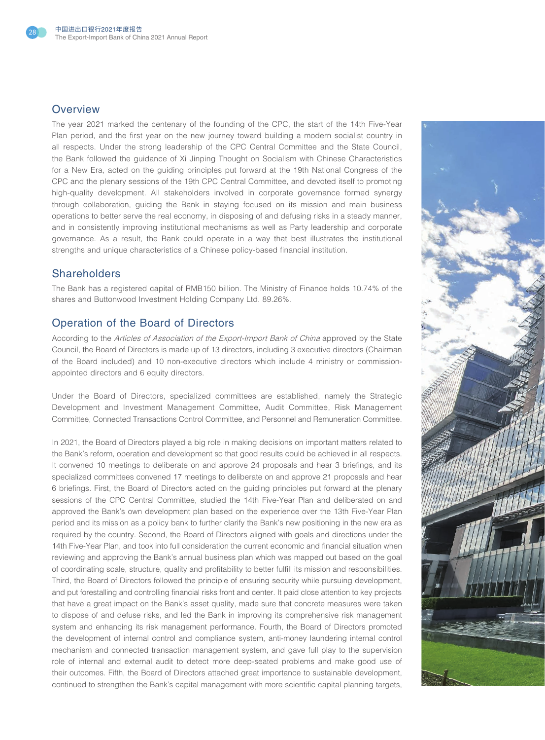

#### **Overview**

The year 2021 marked the centenary of the founding of the CPC, the start of the 14th Five-Year Plan period, and the first year on the new journey toward building a modern socialist country in all respects. Under the strong leadership of the CPC Central Committee and the State Council, the Bank followed the guidance of Xi Jinping Thought on Socialism with Chinese Characteristics for a New Era, acted on the guiding principles put forward at the 19th National Congress of the CPC and the plenary sessions of the 19th CPC Central Committee, and devoted itself to promoting high-quality development. All stakeholders involved in corporate governance formed synergy through collaboration, guiding the Bank in staying focused on its mission and main business operations to better serve the real economy, in disposing of and defusing risks in a steady manner, and in consistently improving institutional mechanisms as well as Party leadership and corporate governance. As a result, the Bank could operate in a way that best illustrates the institutional strengths and unique characteristics of a Chinese policy-based financial institution.

#### **Shareholders**

The Bank has a registered capital of RMB150 billion. The Ministry of Finance holds 10.74% of the shares and Buttonwood Investment Holding Company Ltd. 89.26%.

### Operation of the Board of Directors

According to the Articles of Association of the Export-Import Bank of China approved by the State Council, the Board of Directors is made up of 13 directors, including 3 executive directors (Chairman of the Board included) and 10 non-executive directors which include 4 ministry or commissionappointed directors and 6 equity directors.

Under the Board of Directors, specialized committees are established, namely the Strategic Development and Investment Management Committee, Audit Committee, Risk Management Committee, Connected Transactions Control Committee, and Personnel and Remuneration Committee.

In 2021, the Board of Directors played a big role in making decisions on important matters related to the Bank's reform, operation and development so that good results could be achieved in all respects. It convened 10 meetings to deliberate on and approve 24 proposals and hear 3 briefings, and its specialized committees convened 17 meetings to deliberate on and approve 21 proposals and hear 6 briefings. First, the Board of Directors acted on the guiding principles put forward at the plenary sessions of the CPC Central Committee, studied the 14th Five-Year Plan and deliberated on and approved the Bank's own development plan based on the experience over the 13th Five-Year Plan period and its mission as a policy bank to further clarify the Bank's new positioning in the new era as required by the country. Second, the Board of Directors aligned with goals and directions under the 14th Five-Year Plan, and took into full consideration the current economic and financial situation when reviewing and approving the Bank's annual business plan which was mapped out based on the goal of coordinating scale, structure, quality and profitability to better fulfill its mission and responsibilities. Third, the Board of Directors followed the principle of ensuring security while pursuing development, and put forestalling and controlling financial risks front and center. It paid close attention to key projects that have a great impact on the Bank's asset quality, made sure that concrete measures were taken to dispose of and defuse risks, and led the Bank in improving its comprehensive risk management system and enhancing its risk management performance. Fourth, the Board of Directors promoted the development of internal control and compliance system, anti-money laundering internal control mechanism and connected transaction management system, and gave full play to the supervision role of internal and external audit to detect more deep-seated problems and make good use of their outcomes. Fifth, the Board of Directors attached great importance to sustainable development, continued to strengthen the Bank's capital management with more scientific capital planning targets,